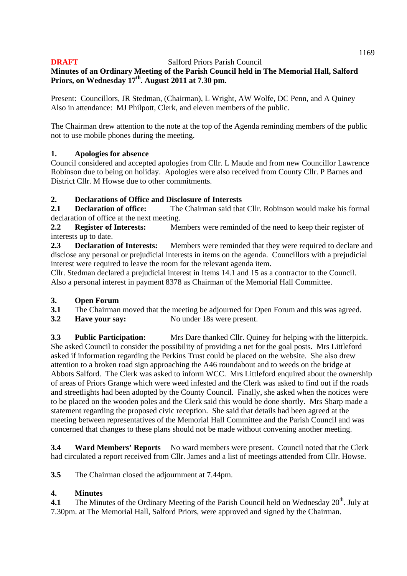# **Minutes of an Ordinary Meeting of the Parish Council held in The Memorial Hall, Salford Priors, on Wednesday 17th. August 2011 at 7.30 pm.**

Present: Councillors, JR Stedman, (Chairman), L Wright, AW Wolfe, DC Penn, and A Quiney Also in attendance: MJ Philpott, Clerk, and eleven members of the public.

The Chairman drew attention to the note at the top of the Agenda reminding members of the public not to use mobile phones during the meeting.

# **1. Apologies for absence**

Council considered and accepted apologies from Cllr. L Maude and from new Councillor Lawrence Robinson due to being on holiday. Apologies were also received from County Cllr. P Barnes and District Cllr. M Howse due to other commitments.

# **2. Declarations of Office and Disclosure of Interests**

**2.1 Declaration of office:** The Chairman said that Cllr. Robinson would make his formal declaration of office at the next meeting.

**2.2 Register of Interests:** Members were reminded of the need to keep their register of interests up to date.

**2.3 Declaration of Interests:** Members were reminded that they were required to declare and disclose any personal or prejudicial interests in items on the agenda. Councillors with a prejudicial interest were required to leave the room for the relevant agenda item.

Cllr. Stedman declared a prejudicial interest in Items 14.1 and 15 as a contractor to the Council. Also a personal interest in payment 8378 as Chairman of the Memorial Hall Committee.

### **3. Open Forum**

- **3.1** The Chairman moved that the meeting be adjourned for Open Forum and this was agreed.
- **3.2 Have your say:** No under 18s were present.

**3.3 Public Participation:** Mrs Dare thanked Cllr. Quiney for helping with the litterpick. She asked Council to consider the possibility of providing a net for the goal posts. Mrs Littleford asked if information regarding the Perkins Trust could be placed on the website. She also drew attention to a broken road sign approaching the A46 roundabout and to weeds on the bridge at Abbots Salford. The Clerk was asked to inform WCC. Mrs Littleford enquired about the ownership of areas of Priors Grange which were weed infested and the Clerk was asked to find out if the roads and streetlights had been adopted by the County Council. Finally, she asked when the notices were to be placed on the wooden poles and the Clerk said this would be done shortly. Mrs Sharp made a statement regarding the proposed civic reception. She said that details had been agreed at the meeting between representatives of the Memorial Hall Committee and the Parish Council and was concerned that changes to these plans should not be made without convening another meeting.

**3.4 Ward Members' Reports** No ward members were present. Council noted that the Clerk had circulated a report received from Cllr. James and a list of meetings attended from Cllr. Howse.

**3.5** The Chairman closed the adjournment at 7.44pm.

### **4. Minutes**

**4.1** The Minutes of the Ordinary Meeting of the Parish Council held on Wednesday 20<sup>th</sup>. July at 7.30pm. at The Memorial Hall, Salford Priors, were approved and signed by the Chairman.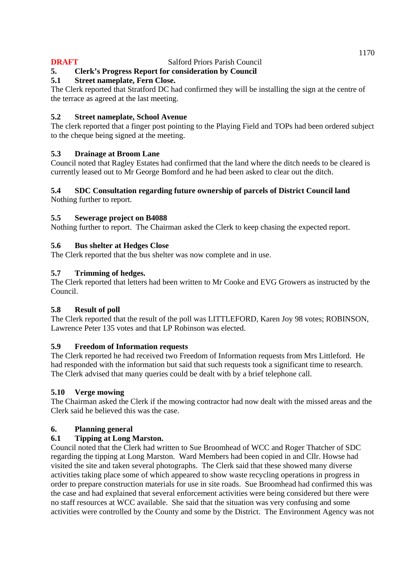# **5. Clerk's Progress Report for consideration by Council**

# **5.1 Street nameplate, Fern Close.**

The Clerk reported that Stratford DC had confirmed they will be installing the sign at the centre of the terrace as agreed at the last meeting.

# **5.2 Street nameplate, School Avenue**

The clerk reported that a finger post pointing to the Playing Field and TOPs had been ordered subject to the cheque being signed at the meeting.

# **5.3 Drainage at Broom Lane**

Council noted that Ragley Estates had confirmed that the land where the ditch needs to be cleared is currently leased out to Mr George Bomford and he had been asked to clear out the ditch.

# **5.4 SDC Consultation regarding future ownership of parcels of District Council land**

Nothing further to report.

# **5.5 Sewerage project on B4088**

Nothing further to report. The Chairman asked the Clerk to keep chasing the expected report.

# **5.6 Bus shelter at Hedges Close**

The Clerk reported that the bus shelter was now complete and in use.

# **5.7 Trimming of hedges.**

The Clerk reported that letters had been written to Mr Cooke and EVG Growers as instructed by the Council.

### **5.8 Result of poll**

The Clerk reported that the result of the poll was LITTLEFORD, Karen Joy 98 votes; ROBINSON, Lawrence Peter 135 votes and that LP Robinson was elected.

### **5.9 Freedom of Information requests**

The Clerk reported he had received two Freedom of Information requests from Mrs Littleford. He had responded with the information but said that such requests took a significant time to research. The Clerk advised that many queries could be dealt with by a brief telephone call.

### **5.10 Verge mowing**

The Chairman asked the Clerk if the mowing contractor had now dealt with the missed areas and the Clerk said he believed this was the case.

# **6. Planning general**

# **6.1 Tipping at Long Marston.**

Council noted that the Clerk had written to Sue Broomhead of WCC and Roger Thatcher of SDC regarding the tipping at Long Marston. Ward Members had been copied in and Cllr. Howse had visited the site and taken several photographs. The Clerk said that these showed many diverse activities taking place some of which appeared to show waste recycling operations in progress in order to prepare construction materials for use in site roads. Sue Broomhead had confirmed this was the case and had explained that several enforcement activities were being considered but there were no staff resources at WCC available. She said that the situation was very confusing and some activities were controlled by the County and some by the District. The Environment Agency was not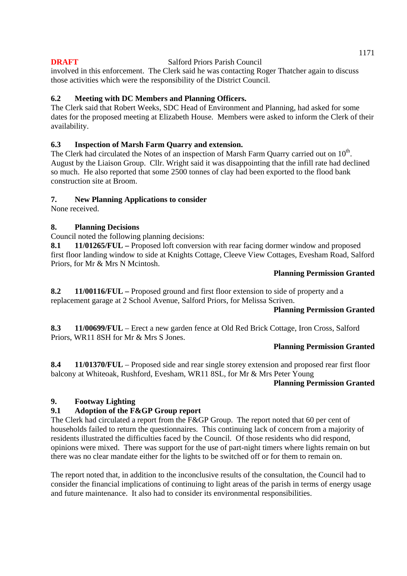involved in this enforcement. The Clerk said he was contacting Roger Thatcher again to discuss those activities which were the responsibility of the District Council.

# **6.2 Meeting with DC Members and Planning Officers.**

The Clerk said that Robert Weeks, SDC Head of Environment and Planning, had asked for some dates for the proposed meeting at Elizabeth House. Members were asked to inform the Clerk of their availability.

# **6.3 Inspection of Marsh Farm Quarry and extension.**

The Clerk had circulated the Notes of an inspection of Marsh Farm Quarry carried out on  $10<sup>th</sup>$ . August by the Liaison Group. Cllr. Wright said it was disappointing that the infill rate had declined so much. He also reported that some 2500 tonnes of clay had been exported to the flood bank construction site at Broom.

# **7. New Planning Applications to consider**

None received.

# **8. Planning Decisions**

Council noted the following planning decisions:

**8.1 11/01265/FUL –** Proposed loft conversion with rear facing dormer window and proposed first floor landing window to side at Knights Cottage, Cleeve View Cottages, Evesham Road, Salford Priors, for Mr & Mrs N Mcintosh.

# **Planning Permission Granted**

**8.2 11/00116/FUL –** Proposed ground and first floor extension to side of property and a replacement garage at 2 School Avenue, Salford Priors, for Melissa Scriven.

### **Planning Permission Granted**

**8.3 11/00699/FUL** – Erect a new garden fence at Old Red Brick Cottage, Iron Cross, Salford Priors, WR11 8SH for Mr & Mrs S Jones.

# **Planning Permission Granted**

**8.4 11/01370/FUL** – Proposed side and rear single storey extension and proposed rear first floor balcony at Whiteoak, Rushford, Evesham, WR11 8SL, for Mr & Mrs Peter Young

### **Planning Permission Granted**

# **9. Footway Lighting**

# **9.1 Adoption of the F&GP Group report**

The Clerk had circulated a report from the F&GP Group. The report noted that 60 per cent of households failed to return the questionnaires. This continuing lack of concern from a majority of residents illustrated the difficulties faced by the Council. Of those residents who did respond, opinions were mixed. There was support for the use of part-night timers where lights remain on but there was no clear mandate either for the lights to be switched off or for them to remain on.

The report noted that, in addition to the inconclusive results of the consultation, the Council had to consider the financial implications of continuing to light areas of the parish in terms of energy usage and future maintenance. It also had to consider its environmental responsibilities.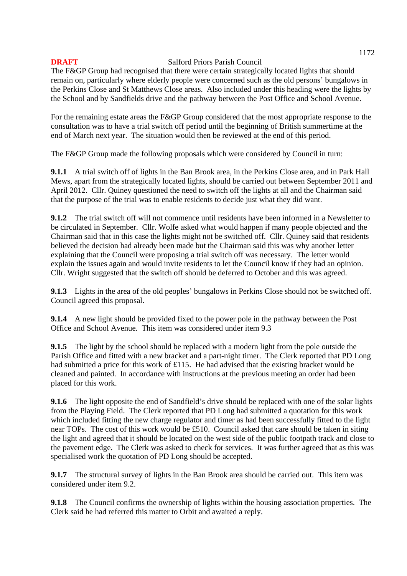The F&GP Group had recognised that there were certain strategically located lights that should remain on, particularly where elderly people were concerned such as the old persons' bungalows in the Perkins Close and St Matthews Close areas. Also included under this heading were the lights by the School and by Sandfields drive and the pathway between the Post Office and School Avenue.

For the remaining estate areas the F&GP Group considered that the most appropriate response to the consultation was to have a trial switch off period until the beginning of British summertime at the end of March next year. The situation would then be reviewed at the end of this period.

The F&GP Group made the following proposals which were considered by Council in turn:

**9.1.1** A trial switch off of lights in the Ban Brook area, in the Perkins Close area, and in Park Hall Mews, apart from the strategically located lights, should be carried out between September 2011 and April 2012. Cllr. Quiney questioned the need to switch off the lights at all and the Chairman said that the purpose of the trial was to enable residents to decide just what they did want.

**9.1.2** The trial switch off will not commence until residents have been informed in a Newsletter to be circulated in September. Cllr. Wolfe asked what would happen if many people objected and the Chairman said that in this case the lights might not be switched off. Cllr. Quiney said that residents believed the decision had already been made but the Chairman said this was why another letter explaining that the Council were proposing a trial switch off was necessary. The letter would explain the issues again and would invite residents to let the Council know if they had an opinion. Cllr. Wright suggested that the switch off should be deferred to October and this was agreed.

**9.1.3** Lights in the area of the old peoples' bungalows in Perkins Close should not be switched off. Council agreed this proposal.

**9.1.4** A new light should be provided fixed to the power pole in the pathway between the Post Office and School Avenue*.* This item was considered under item 9.3

**9.1.5** The light by the school should be replaced with a modern light from the pole outside the Parish Office and fitted with a new bracket and a part-night timer. The Clerk reported that PD Long had submitted a price for this work of £115. He had advised that the existing bracket would be cleaned and painted. In accordance with instructions at the previous meeting an order had been placed for this work.

**9.1.6** The light opposite the end of Sandfield's drive should be replaced with one of the solar lights from the Playing Field. The Clerk reported that PD Long had submitted a quotation for this work which included fitting the new charge regulator and timer as had been successfully fitted to the light near TOPs. The cost of this work would be £510. Council asked that care should be taken in siting the light and agreed that it should be located on the west side of the public footpath track and close to the pavement edge. The Clerk was asked to check for services. It was further agreed that as this was specialised work the quotation of PD Long should be accepted.

**9.1.7** The structural survey of lights in the Ban Brook area should be carried out. This item was considered under item 9.2.

**9.1.8** The Council confirms the ownership of lights within the housing association properties. The Clerk said he had referred this matter to Orbit and awaited a reply.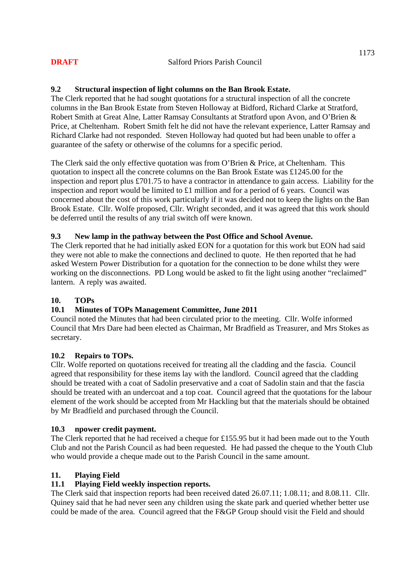# **9.2 Structural inspection of light columns on the Ban Brook Estate.**

The Clerk reported that he had sought quotations for a structural inspection of all the concrete columns in the Ban Brook Estate from Steven Holloway at Bidford, Richard Clarke at Stratford, Robert Smith at Great Alne, Latter Ramsay Consultants at Stratford upon Avon, and O'Brien & Price, at Cheltenham. Robert Smith felt he did not have the relevant experience, Latter Ramsay and Richard Clarke had not responded. Steven Holloway had quoted but had been unable to offer a guarantee of the safety or otherwise of the columns for a specific period.

The Clerk said the only effective quotation was from O'Brien & Price, at Cheltenham. This quotation to inspect all the concrete columns on the Ban Brook Estate was £1245.00 for the inspection and report plus £701.75 to have a contractor in attendance to gain access. Liability for the inspection and report would be limited to £1 million and for a period of 6 years. Council was concerned about the cost of this work particularly if it was decided not to keep the lights on the Ban Brook Estate. Cllr. Wolfe proposed, Cllr. Wright seconded, and it was agreed that this work should be deferred until the results of any trial switch off were known.

### **9.3 New lamp in the pathway between the Post Office and School Avenue.**

The Clerk reported that he had initially asked EON for a quotation for this work but EON had said they were not able to make the connections and declined to quote. He then reported that he had asked Western Power Distribution for a quotation for the connection to be done whilst they were working on the disconnections. PD Long would be asked to fit the light using another "reclaimed" lantern. A reply was awaited.

# **10. TOPs**

# **10.1 Minutes of TOPs Management Committee, June 2011**

Council noted the Minutes that had been circulated prior to the meeting. Cllr. Wolfe informed Council that Mrs Dare had been elected as Chairman, Mr Bradfield as Treasurer, and Mrs Stokes as secretary.

### **10.2 Repairs to TOPs.**

Cllr. Wolfe reported on quotations received for treating all the cladding and the fascia. Council agreed that responsibility for these items lay with the landlord. Council agreed that the cladding should be treated with a coat of Sadolin preservative and a coat of Sadolin stain and that the fascia should be treated with an undercoat and a top coat. Council agreed that the quotations for the labour element of the work should be accepted from Mr Hackling but that the materials should be obtained by Mr Bradfield and purchased through the Council.

### **10.3 npower credit payment.**

The Clerk reported that he had received a cheque for £155.95 but it had been made out to the Youth Club and not the Parish Council as had been requested. He had passed the cheque to the Youth Club who would provide a cheque made out to the Parish Council in the same amount.

### **11. Playing Field**

### **11.1 Playing Field weekly inspection reports.**

The Clerk said that inspection reports had been received dated 26.07.11; 1.08.11; and 8.08.11. Cllr. Quiney said that he had never seen any children using the skate park and queried whether better use could be made of the area. Council agreed that the F&GP Group should visit the Field and should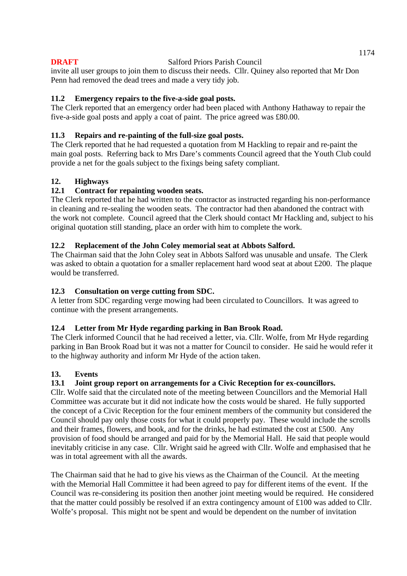invite all user groups to join them to discuss their needs. Cllr. Quiney also reported that Mr Don Penn had removed the dead trees and made a very tidy job.

# **11.2 Emergency repairs to the five-a-side goal posts.**

The Clerk reported that an emergency order had been placed with Anthony Hathaway to repair the five-a-side goal posts and apply a coat of paint. The price agreed was £80.00.

### **11.3 Repairs and re-painting of the full-size goal posts.**

The Clerk reported that he had requested a quotation from M Hackling to repair and re-paint the main goal posts. Referring back to Mrs Dare's comments Council agreed that the Youth Club could provide a net for the goals subject to the fixings being safety compliant.

### **12. Highways**

# **12.1 Contract for repainting wooden seats.**

The Clerk reported that he had written to the contractor as instructed regarding his non-performance in cleaning and re-sealing the wooden seats. The contractor had then abandoned the contract with the work not complete. Council agreed that the Clerk should contact Mr Hackling and, subject to his original quotation still standing, place an order with him to complete the work.

# **12.2 Replacement of the John Coley memorial seat at Abbots Salford.**

The Chairman said that the John Coley seat in Abbots Salford was unusable and unsafe. The Clerk was asked to obtain a quotation for a smaller replacement hard wood seat at about £200. The plaque would be transferred.

### **12.3 Consultation on verge cutting from SDC.**

A letter from SDC regarding verge mowing had been circulated to Councillors. It was agreed to continue with the present arrangements.

### **12.4 Letter from Mr Hyde regarding parking in Ban Brook Road.**

The Clerk informed Council that he had received a letter, via. Cllr. Wolfe, from Mr Hyde regarding parking in Ban Brook Road but it was not a matter for Council to consider. He said he would refer it to the highway authority and inform Mr Hyde of the action taken.

### **13. Events**

### **13.1 Joint group report on arrangements for a Civic Reception for ex-councillors.**

Cllr. Wolfe said that the circulated note of the meeting between Councillors and the Memorial Hall Committee was accurate but it did not indicate how the costs would be shared. He fully supported the concept of a Civic Reception for the four eminent members of the community but considered the Council should pay only those costs for what it could properly pay. These would include the scrolls and their frames, flowers, and book, and for the drinks, he had estimated the cost at £500. Any provision of food should be arranged and paid for by the Memorial Hall. He said that people would inevitably criticise in any case. Cllr. Wright said he agreed with Cllr. Wolfe and emphasised that he was in total agreement with all the awards.

The Chairman said that he had to give his views as the Chairman of the Council. At the meeting with the Memorial Hall Committee it had been agreed to pay for different items of the event. If the Council was re-considering its position then another joint meeting would be required. He considered that the matter could possibly be resolved if an extra contingency amount of £100 was added to Cllr. Wolfe's proposal. This might not be spent and would be dependent on the number of invitation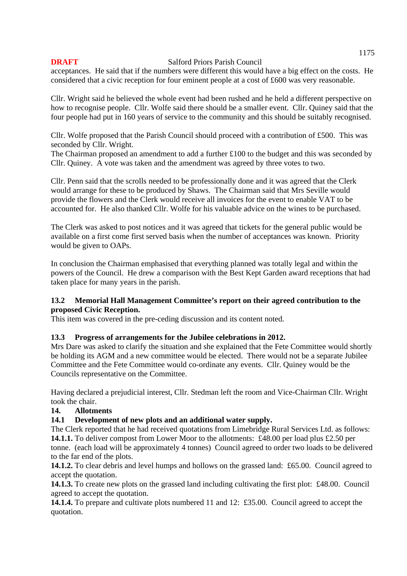acceptances. He said that if the numbers were different this would have a big effect on the costs. He considered that a civic reception for four eminent people at a cost of £600 was very reasonable.

Cllr. Wright said he believed the whole event had been rushed and he held a different perspective on how to recognise people. Cllr. Wolfe said there should be a smaller event. Cllr. Quiney said that the four people had put in 160 years of service to the community and this should be suitably recognised.

Cllr. Wolfe proposed that the Parish Council should proceed with a contribution of £500. This was seconded by Cllr. Wright.

The Chairman proposed an amendment to add a further £100 to the budget and this was seconded by Cllr. Quiney. A vote was taken and the amendment was agreed by three votes to two.

Cllr. Penn said that the scrolls needed to be professionally done and it was agreed that the Clerk would arrange for these to be produced by Shaws. The Chairman said that Mrs Seville would provide the flowers and the Clerk would receive all invoices for the event to enable VAT to be accounted for. He also thanked Cllr. Wolfe for his valuable advice on the wines to be purchased.

The Clerk was asked to post notices and it was agreed that tickets for the general public would be available on a first come first served basis when the number of acceptances was known. Priority would be given to OAPs.

In conclusion the Chairman emphasised that everything planned was totally legal and within the powers of the Council. He drew a comparison with the Best Kept Garden award receptions that had taken place for many years in the parish.

# **13.2 Memorial Hall Management Committee's report on their agreed contribution to the proposed Civic Reception.**

This item was covered in the pre-ceding discussion and its content noted.

### **13.3 Progress of arrangements for the Jubilee celebrations in 2012.**

Mrs Dare was asked to clarify the situation and she explained that the Fete Committee would shortly be holding its AGM and a new committee would be elected. There would not be a separate Jubilee Committee and the Fete Committee would co-ordinate any events. Cllr. Quiney would be the Councils representative on the Committee.

Having declared a prejudicial interest, Cllr. Stedman left the room and Vice-Chairman Cllr. Wright took the chair.

### **14. Allotments**

### **14.1 Development of new plots and an additional water supply.**

The Clerk reported that he had received quotations from Limebridge Rural Services Ltd. as follows: **14.1.1.** To deliver compost from Lower Moor to the allotments: £48.00 per load plus £2.50 per tonne. (each load will be approximately 4 tonnes) Council agreed to order two loads to be delivered to the far end of the plots.

**14.1.2.** To clear debris and level humps and hollows on the grassed land: £65.00. Council agreed to accept the quotation.

**14.1.3.** To create new plots on the grassed land including cultivating the first plot: £48.00. Council agreed to accept the quotation.

**14.1.4.** To prepare and cultivate plots numbered 11 and 12: £35.00. Council agreed to accept the quotation.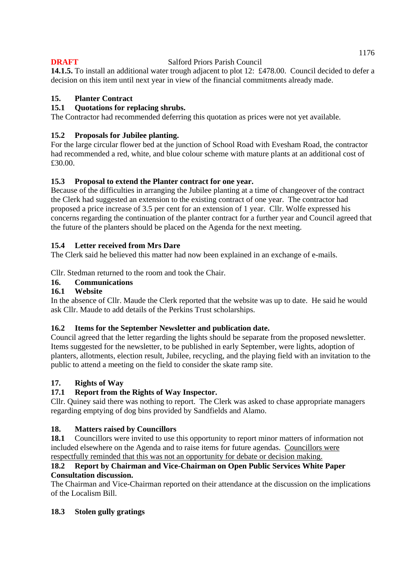**14.1.5.** To install an additional water trough adjacent to plot 12: £478.00. Council decided to defer a decision on this item until next year in view of the financial commitments already made.

# **15. Planter Contract**

# **15.1 Quotations for replacing shrubs.**

The Contractor had recommended deferring this quotation as prices were not yet available.

# **15.2 Proposals for Jubilee planting.**

For the large circular flower bed at the junction of School Road with Evesham Road, the contractor had recommended a red, white, and blue colour scheme with mature plants at an additional cost of £30.00.

# **15.3 Proposal to extend the Planter contract for one year.**

Because of the difficulties in arranging the Jubilee planting at a time of changeover of the contract the Clerk had suggested an extension to the existing contract of one year. The contractor had proposed a price increase of 3.5 per cent for an extension of 1 year. Cllr. Wolfe expressed his concerns regarding the continuation of the planter contract for a further year and Council agreed that the future of the planters should be placed on the Agenda for the next meeting.

# **15.4 Letter received from Mrs Dare**

The Clerk said he believed this matter had now been explained in an exchange of e-mails.

Cllr. Stedman returned to the room and took the Chair.

### **16. Communications**

### **16.1 Website**

In the absence of Cllr. Maude the Clerk reported that the website was up to date. He said he would ask Cllr. Maude to add details of the Perkins Trust scholarships.

### **16.2 Items for the September Newsletter and publication date.**

Council agreed that the letter regarding the lights should be separate from the proposed newsletter. Items suggested for the newsletter, to be published in early September, were lights, adoption of planters, allotments, election result, Jubilee, recycling, and the playing field with an invitation to the public to attend a meeting on the field to consider the skate ramp site.

# **17. Rights of Way**

# **17.1 Report from the Rights of Way Inspector.**

Cllr. Quiney said there was nothing to report. The Clerk was asked to chase appropriate managers regarding emptying of dog bins provided by Sandfields and Alamo.

### **18. Matters raised by Councillors**

**18.1** Councillors were invited to use this opportunity to report minor matters of information not included elsewhere on the Agenda and to raise items for future agendas. Councillors were respectfully reminded that this was not an opportunity for debate or decision making.

### **18.2 Report by Chairman and Vice-Chairman on Open Public Services White Paper Consultation discussion.**

The Chairman and Vice-Chairman reported on their attendance at the discussion on the implications of the Localism Bill.

### **18.3 Stolen gully gratings**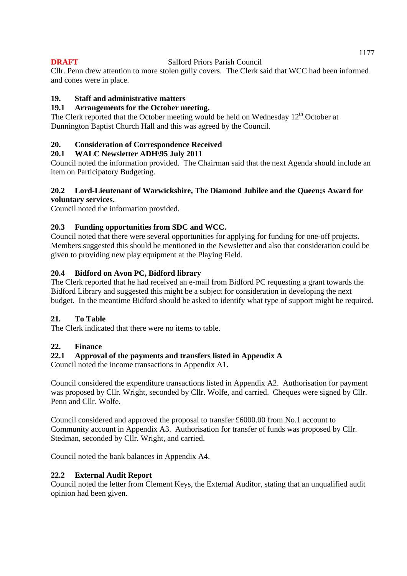Cllr. Penn drew attention to more stolen gully covers. The Clerk said that WCC had been informed and cones were in place.

# **19. Staff and administrative matters**

### **19.1 Arrangements for the October meeting.**

The Clerk reported that the October meeting would be held on Wednesday 12<sup>th</sup>.October at Dunnington Baptist Church Hall and this was agreed by the Council.

# **20. Consideration of Correspondence Received**

### **20.1 WALC Newsletter ADH\95 July 2011**

Council noted the information provided. The Chairman said that the next Agenda should include an item on Participatory Budgeting.

#### **20.2 Lord-Lieutenant of Warwickshire, The Diamond Jubilee and the Queen;s Award for voluntary services.**

Council noted the information provided.

# **20.3 Funding opportunities from SDC and WCC.**

Council noted that there were several opportunities for applying for funding for one-off projects. Members suggested this should be mentioned in the Newsletter and also that consideration could be given to providing new play equipment at the Playing Field.

# **20.4 Bidford on Avon PC, Bidford library**

The Clerk reported that he had received an e-mail from Bidford PC requesting a grant towards the Bidford Library and suggested this might be a subject for consideration in developing the next budget. In the meantime Bidford should be asked to identify what type of support might be required.

### **21. To Table**

The Clerk indicated that there were no items to table.

### **22. Finance**

# **22.1 Approval of the payments and transfers listed in Appendix A**

Council noted the income transactions in Appendix A1.

Council considered the expenditure transactions listed in Appendix A2. Authorisation for payment was proposed by Cllr. Wright, seconded by Cllr. Wolfe, and carried. Cheques were signed by Cllr. Penn and Cllr. Wolfe.

Council considered and approved the proposal to transfer £6000.00 from No.1 account to Community account in Appendix A3. Authorisation for transfer of funds was proposed by Cllr. Stedman, seconded by Cllr. Wright, and carried.

Council noted the bank balances in Appendix A4.

### **22.2 External Audit Report**

Council noted the letter from Clement Keys, the External Auditor, stating that an unqualified audit opinion had been given.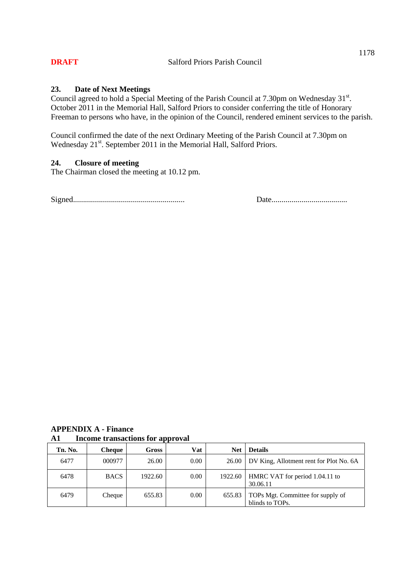#### **23. Date of Next Meetings**

Council agreed to hold a Special Meeting of the Parish Council at 7.30pm on Wednesday  $31<sup>st</sup>$ . October 2011 in the Memorial Hall, Salford Priors to consider conferring the title of Honorary Freeman to persons who have, in the opinion of the Council, rendered eminent services to the parish.

Council confirmed the date of the next Ordinary Meeting of the Parish Council at 7.30pm on Wednesday 21<sup>st</sup>. September 2011 in the Memorial Hall, Salford Priors.

# **24. Closure of meeting**

The Chairman closed the meeting at 10.12 pm.

Signed........................................................ Date......................................

| <b>APPENDIX A - Finance</b> |                                         |  |  |  |
|-----------------------------|-----------------------------------------|--|--|--|
| A1                          | <b>Income transactions for approval</b> |  |  |  |

| Tn. No. | Cheque      | Gross   | Vat  | <b>Net</b> | <b>Details</b>                                       |
|---------|-------------|---------|------|------------|------------------------------------------------------|
| 6477    | 000977      | 26.00   | 0.00 | 26.00      | DV King, Allotment rent for Plot No. 6A              |
| 6478    | <b>BACS</b> | 1922.60 | 0.00 | 1922.60    | HMRC VAT for period 1.04.11 to<br>30.06.11           |
| 6479    | Cheque      | 655.83  | 0.00 | 655.83     | TOPs Mgt. Committee for supply of<br>blinds to TOPs. |